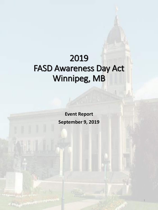# 2019 FASD Awareness Day Act Winnipeg, MB

**Event Report September 9, 2019** 

1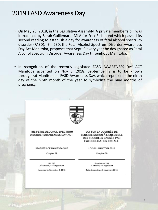- On May 23, 2018, in the Legislative Assembly, A private member's bill was introduced by Sarah Guillemard, MLA for Fort Richmond which passed its second reading to establish a day for awareness of fetal alcohol spectrum disorder (FASD). Bill 230, the Fetal Alcohol Spectrum Disorder Awareness Day Act Manitoba, proposes that Sept. 9 every year be designated as Fetal Alcohol Spectrum Disorder Awareness Day throughout Manitoba.
- In recognition of the recently legislated FASD AWARENESS DAY ACT Manitoba accented on Nov 8, 2018, September 9 is to be known throughout Manitoba as FASD Awareness Day, which represents the ninth day of the ninth month of the year to symbolize the nine months of pregnancy.

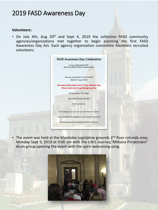#### **Volunteers:**

• On July 4th, Aug 20<sup>th</sup> and Sept 4, 2019 the collective FASD community agencies/organizations met together to begin planning the first FASD Awareness Day Act. Each agency organization committee Members recruited volunteers.

| <b>FASD Awareness Day Celebration</b>                                                                          |
|----------------------------------------------------------------------------------------------------------------|
| Come celebrate Bill 230<br>(the first official FASD Awareness Day)                                             |
| Monday September 9, 2019 at 9AM<br>(Bell will ring at 9:09)                                                    |
| The event will be held in the 2 <sup>nd</sup> Floor Rotunda Area<br>Please arrive early to go through security |
| 450 Broadway, Winnipeg)                                                                                        |
| Light refreshments provided                                                                                    |
| All are welcome                                                                                                |
| Acknowledging 20 years of grassroots celebration in Manitoba                                                   |
| Please note that photography is permitted at the event                                                         |
| Event sponsored by the Manitoba FASD Coalition                                                                 |

• The event was held at the Manitoba Legislative grounds 2<sup>nd</sup> floor rotunda area, Monday Sept 9, 2019 at 9:00 am with the Life's Journey,"Miikana Pimatiziwin" drum group opening the event with the spirit welcoming song.

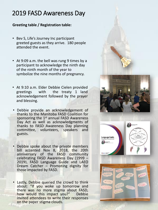### **Greeting table / Registration table:**

- Bev S, Life's Journey Inc participant greeted guests as they arrive. 180 people attended the event.
- At 9:09 a.m. the bell was rung 9 times by a participant to acknowledge the ninth day of the ninth month of the year to symbolize the nine months of pregnancy.
- At 9 :10 a . m . Elder Debbie Cielen provided greetings with the treaty 1 land acknowledgement followed by the prayer and blessing .
- Debbie provide an acknowledgement of thanks to the Manitoba FASD Coalition for sponsoring the 1<sup>st</sup> annual FASD Awareness Day Act as well as acknowledgments of thanks to FASD Awareness Day planning committee, volunteers, speakers and guests .
- Debbie spoke about the private members bill accented Nov 8, 2018, the 20th anniversary of the FASD community celebrating FASD Awareness Day (1999 -2019), FASD Language Guide and LAEO Dream Catcher – Promoting dignity for those impacted by FASD .
- Lastly, Debbie queried the crowd to think about : "If you woke up tomorrow and there was no more stigma about FASD, how would this impact you?" Debbie invited attendees to write their responses on the paper stigma clouds .







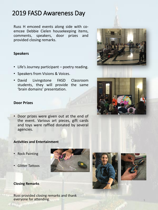Russ H emceed events along side with coemcee Debbie Cielen housekeeping items, comments, speakers, door prizes and provided closing remarks.

### **Speakers**

- Life's Journey participant poetry reading.
- Speakers from Visions & Voices.
- David Livingstone FASD Classroom students, they will provide the same 'brain domains' presentation.

### **Door Prizes**

• Door prizes were given out at the end of the event. Various art pieces, gift cards and toys were raffled donated by several agencies.

#### **Activities and Entertainment**

- Rock Painting
- Glitter Tattoos



Russ provided closing remarks and thank everyone for attending.









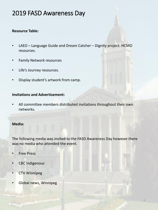### **Resource Table:**

- LAEO Language Guide and Dream Catcher Dignity project. HCMO resources.
- Family Network resources
- Life's Journey resources.
- Display student's artwork from camp.

#### **Invitations and Advertisement:**

• All committee members distributed invitations throughout their own networks.

#### **Media:**

The following media was invited to the FASD Awareness Day however there was no media who attended the event.

- **Free Press**
- CBC Indigenous
- **CTV Winnipeg**
- Global news, Winnipeg